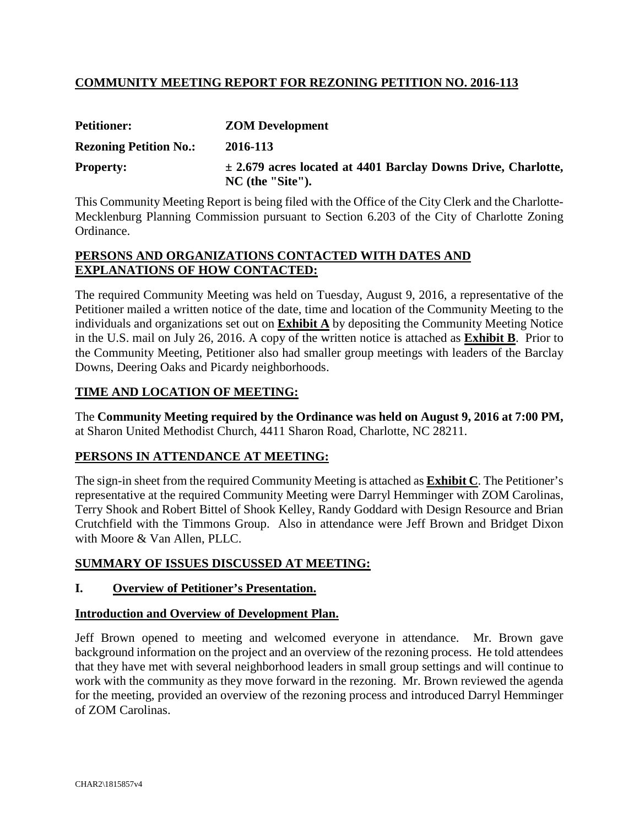### **COMMUNITY MEETING REPORT FOR REZONING PETITION NO. 2016-113**

| <b>Petitioner:</b>            | <b>ZOM Development</b>                                                                  |
|-------------------------------|-----------------------------------------------------------------------------------------|
| <b>Rezoning Petition No.:</b> | 2016-113                                                                                |
| <b>Property:</b>              | $\pm$ 2.679 acres located at 4401 Barclay Downs Drive, Charlotte,<br>$NC$ (the "Site"). |

This Community Meeting Report is being filed with the Office of the City Clerk and the Charlotte-Mecklenburg Planning Commission pursuant to Section 6.203 of the City of Charlotte Zoning Ordinance.

#### **PERSONS AND ORGANIZATIONS CONTACTED WITH DATES AND EXPLANATIONS OF HOW CONTACTED:**

The required Community Meeting was held on Tuesday, August 9, 2016, a representative of the Petitioner mailed a written notice of the date, time and location of the Community Meeting to the individuals and organizations set out on **Exhibit A** by depositing the Community Meeting Notice in the U.S. mail on July 26, 2016. A copy of the written notice is attached as **Exhibit B**. Prior to the Community Meeting, Petitioner also had smaller group meetings with leaders of the Barclay Downs, Deering Oaks and Picardy neighborhoods.

#### **TIME AND LOCATION OF MEETING:**

The **Community Meeting required by the Ordinance was held on August 9, 2016 at 7:00 PM,** at Sharon United Methodist Church, 4411 Sharon Road, Charlotte, NC 28211.

#### **PERSONS IN ATTENDANCE AT MEETING:**

The sign-in sheet from the required Community Meeting is attached as **Exhibit C**. The Petitioner's representative at the required Community Meeting were Darryl Hemminger with ZOM Carolinas, Terry Shook and Robert Bittel of Shook Kelley, Randy Goddard with Design Resource and Brian Crutchfield with the Timmons Group. Also in attendance were Jeff Brown and Bridget Dixon with Moore & Van Allen, PLLC.

#### **SUMMARY OF ISSUES DISCUSSED AT MEETING:**

#### **I. Overview of Petitioner's Presentation.**

#### **Introduction and Overview of Development Plan.**

Jeff Brown opened to meeting and welcomed everyone in attendance. Mr. Brown gave background information on the project and an overview of the rezoning process. He told attendees that they have met with several neighborhood leaders in small group settings and will continue to work with the community as they move forward in the rezoning. Mr. Brown reviewed the agenda for the meeting, provided an overview of the rezoning process and introduced Darryl Hemminger of ZOM Carolinas.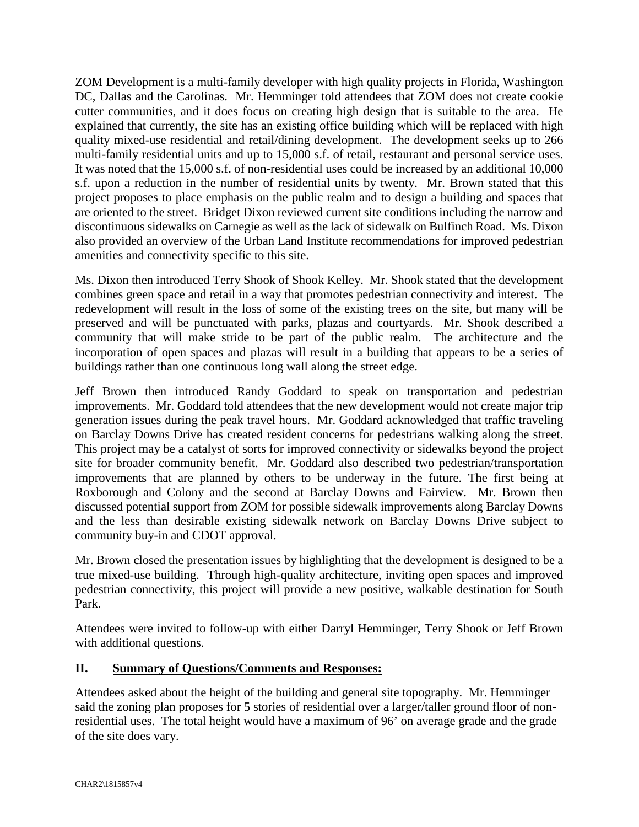ZOM Development is a multi-family developer with high quality projects in Florida, Washington DC, Dallas and the Carolinas. Mr. Hemminger told attendees that ZOM does not create cookie cutter communities, and it does focus on creating high design that is suitable to the area. He explained that currently, the site has an existing office building which will be replaced with high quality mixed-use residential and retail/dining development. The development seeks up to 266 multi-family residential units and up to 15,000 s.f. of retail, restaurant and personal service uses. It was noted that the 15,000 s.f. of non-residential uses could be increased by an additional 10,000 s.f. upon a reduction in the number of residential units by twenty. Mr. Brown stated that this project proposes to place emphasis on the public realm and to design a building and spaces that are oriented to the street. Bridget Dixon reviewed current site conditions including the narrow and discontinuous sidewalks on Carnegie as well as the lack of sidewalk on Bulfinch Road. Ms. Dixon also provided an overview of the Urban Land Institute recommendations for improved pedestrian amenities and connectivity specific to this site.

Ms. Dixon then introduced Terry Shook of Shook Kelley. Mr. Shook stated that the development combines green space and retail in a way that promotes pedestrian connectivity and interest. The redevelopment will result in the loss of some of the existing trees on the site, but many will be preserved and will be punctuated with parks, plazas and courtyards. Mr. Shook described a community that will make stride to be part of the public realm. The architecture and the incorporation of open spaces and plazas will result in a building that appears to be a series of buildings rather than one continuous long wall along the street edge.

Jeff Brown then introduced Randy Goddard to speak on transportation and pedestrian improvements. Mr. Goddard told attendees that the new development would not create major trip generation issues during the peak travel hours. Mr. Goddard acknowledged that traffic traveling on Barclay Downs Drive has created resident concerns for pedestrians walking along the street. This project may be a catalyst of sorts for improved connectivity or sidewalks beyond the project site for broader community benefit. Mr. Goddard also described two pedestrian/transportation improvements that are planned by others to be underway in the future. The first being at Roxborough and Colony and the second at Barclay Downs and Fairview. Mr. Brown then discussed potential support from ZOM for possible sidewalk improvements along Barclay Downs and the less than desirable existing sidewalk network on Barclay Downs Drive subject to community buy-in and CDOT approval.

Mr. Brown closed the presentation issues by highlighting that the development is designed to be a true mixed-use building. Through high-quality architecture, inviting open spaces and improved pedestrian connectivity, this project will provide a new positive, walkable destination for South Park.

Attendees were invited to follow-up with either Darryl Hemminger, Terry Shook or Jeff Brown with additional questions.

### **II. Summary of Questions/Comments and Responses:**

Attendees asked about the height of the building and general site topography. Mr. Hemminger said the zoning plan proposes for 5 stories of residential over a larger/taller ground floor of nonresidential uses. The total height would have a maximum of 96' on average grade and the grade of the site does vary.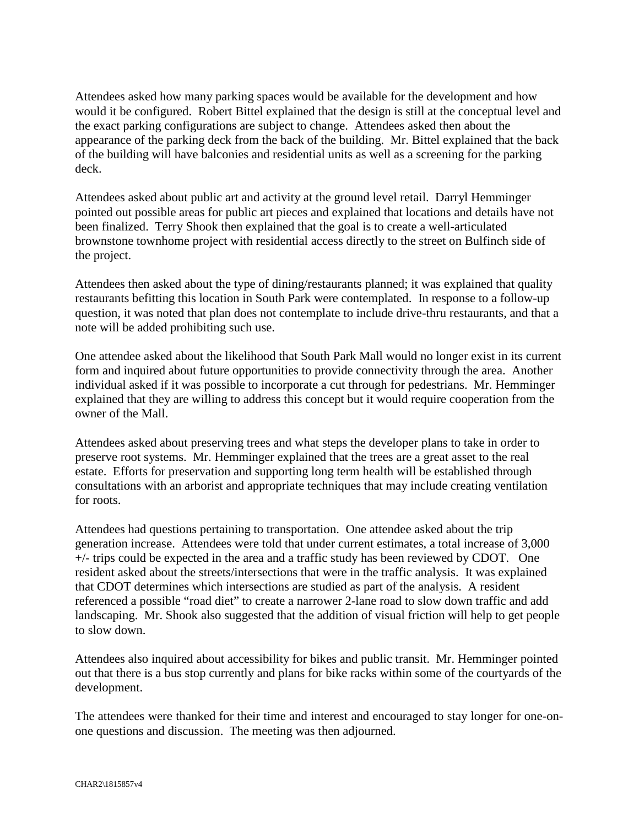Attendees asked how many parking spaces would be available for the development and how would it be configured. Robert Bittel explained that the design is still at the conceptual level and the exact parking configurations are subject to change. Attendees asked then about the appearance of the parking deck from the back of the building. Mr. Bittel explained that the back of the building will have balconies and residential units as well as a screening for the parking deck.

Attendees asked about public art and activity at the ground level retail. Darryl Hemminger pointed out possible areas for public art pieces and explained that locations and details have not been finalized. Terry Shook then explained that the goal is to create a well-articulated brownstone townhome project with residential access directly to the street on Bulfinch side of the project.

Attendees then asked about the type of dining/restaurants planned; it was explained that quality restaurants befitting this location in South Park were contemplated. In response to a follow-up question, it was noted that plan does not contemplate to include drive-thru restaurants, and that a note will be added prohibiting such use.

One attendee asked about the likelihood that South Park Mall would no longer exist in its current form and inquired about future opportunities to provide connectivity through the area. Another individual asked if it was possible to incorporate a cut through for pedestrians. Mr. Hemminger explained that they are willing to address this concept but it would require cooperation from the owner of the Mall.

Attendees asked about preserving trees and what steps the developer plans to take in order to preserve root systems. Mr. Hemminger explained that the trees are a great asset to the real estate. Efforts for preservation and supporting long term health will be established through consultations with an arborist and appropriate techniques that may include creating ventilation for roots.

Attendees had questions pertaining to transportation. One attendee asked about the trip generation increase. Attendees were told that under current estimates, a total increase of 3,000 +/- trips could be expected in the area and a traffic study has been reviewed by CDOT. One resident asked about the streets/intersections that were in the traffic analysis. It was explained that CDOT determines which intersections are studied as part of the analysis. A resident referenced a possible "road diet" to create a narrower 2-lane road to slow down traffic and add landscaping. Mr. Shook also suggested that the addition of visual friction will help to get people to slow down.

Attendees also inquired about accessibility for bikes and public transit. Mr. Hemminger pointed out that there is a bus stop currently and plans for bike racks within some of the courtyards of the development.

The attendees were thanked for their time and interest and encouraged to stay longer for one-onone questions and discussion. The meeting was then adjourned.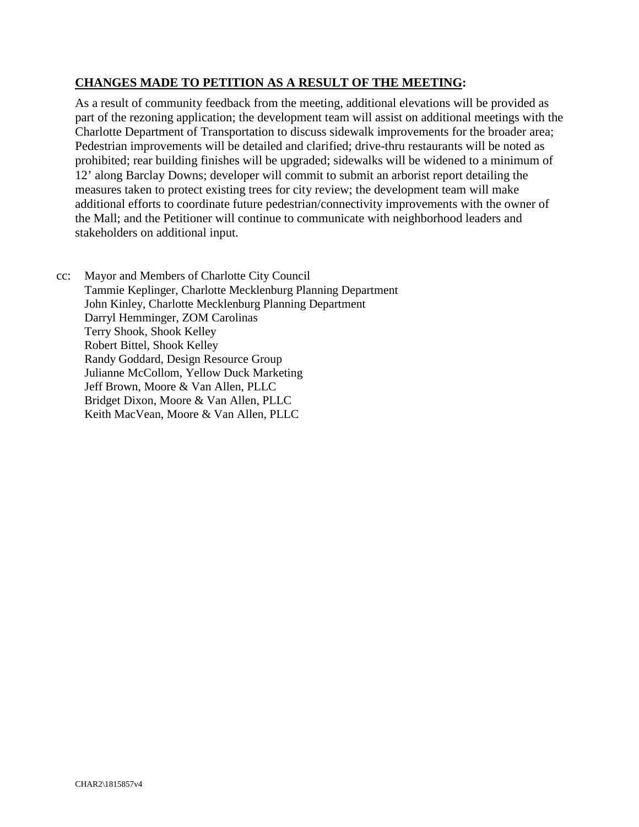#### **CHANGES MADE TO PETITION AS A RESULT OF THE MEETING:**

As a result of community feedback from the meeting, additional elevations will be provided as part of the rezoning application; the development team will assist on additional meetings with the Charlotte Department of Transportation to discuss sidewalk improvements for the broader area; Pedestrian improvements will be detailed and clarified; drive-thru restaurants will be noted as prohibited; rear building finishes will be upgraded; sidewalks will be widened to a minimum of 12' along Barclay Downs; developer will commit to submit an arborist report detailing the measures taken to protect existing trees for city review; the development team will make additional efforts to coordinate future pedestrian/connectivity improvements with the owner of the Mall; and the Petitioner will continue to communicate with neighborhood leaders and stakeholders on additional input.

cc: Mayor and Members of Charlotte City Council Tammie Keplinger, Charlotte Mecklenburg Planning Department John Kinley, Charlotte Mecklenburg Planning Department Darryl Hemminger, ZOM Carolinas Terry Shook, Shook Kelley Robert Bittel, Shook Kelley Randy Goddard, Design Resource Group Julianne McCollom, Yellow Duck Marketing Jeff Brown, Moore & Van Allen, PLLC Bridget Dixon, Moore & Van Allen, PLLC Keith MacVean, Moore & Van Allen, PLLC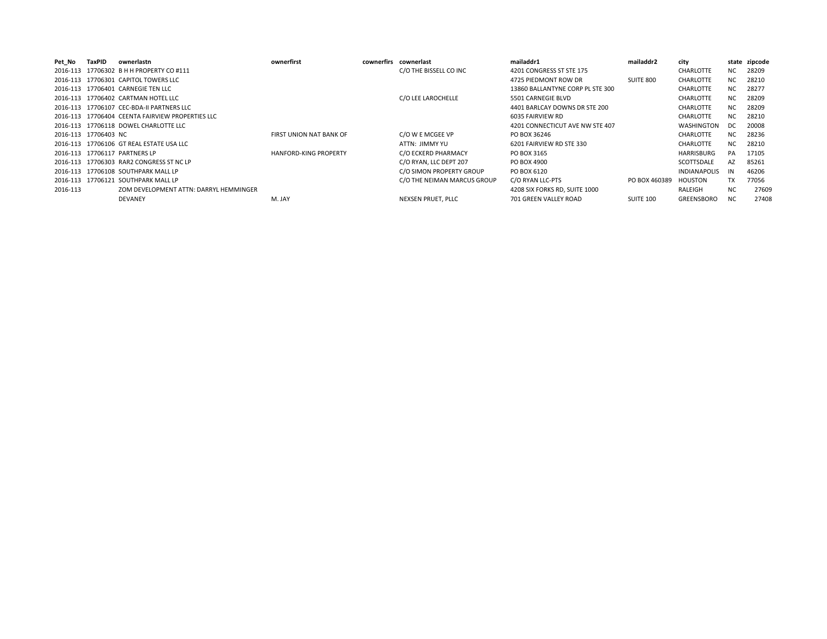| Pet No   | TaxPID               | ownerlastn                                       | ownerfirst                   | cownerfirs cownerlast       | mailaddr1                        | mailaddr2        | city                |           | state zipcode |
|----------|----------------------|--------------------------------------------------|------------------------------|-----------------------------|----------------------------------|------------------|---------------------|-----------|---------------|
|          |                      | 2016-113 17706302 B H H PROPERTY CO #111         |                              | C/O THE BISSELL CO INC      | 4201 CONGRESS ST STE 175         |                  | <b>CHARLOTTE</b>    | NC.       | 28209         |
|          |                      | 2016-113 17706301 CAPITOL TOWERS LLC             |                              |                             | 4725 PIEDMONT ROW DR             | SUITE 800        | <b>CHARLOTTE</b>    | NC.       | 28210         |
|          |                      | 2016-113 17706401 CARNEGIE TEN LLC               |                              |                             | 13860 BALLANTYNE CORP PL STE 300 |                  | <b>CHARLOTTE</b>    | NC.       | 28277         |
|          |                      | 2016-113 17706402 CARTMAN HOTEL LLC              |                              | C/O LEE LAROCHELLE          | 5501 CARNEGIE BLVD               |                  | <b>CHARLOTTE</b>    | NC.       | 28209         |
|          |                      | 2016-113 17706107 CEC-BDA-II PARTNERS LLC        |                              |                             | 4401 BARLCAY DOWNS DR STE 200    |                  | <b>CHARLOTTE</b>    | NC.       | 28209         |
|          |                      | 2016-113 17706404 CEENTA FAIRVIEW PROPERTIES LLC |                              |                             | 6035 FAIRVIEW RD                 |                  | <b>CHARLOTTE</b>    | NC.       | 28210         |
|          |                      | 2016-113 17706118 DOWEL CHARLOTTE LLC            |                              |                             | 4201 CONNECTICUT AVE NW STE 407  |                  | <b>WASHINGTON</b>   | -DC       | 20008         |
|          | 2016-113 17706403 NC |                                                  | FIRST UNION NAT BANK OF      | C/O W E MCGEE VP            | PO BOX 36246                     |                  | <b>CHARLOTTE</b>    | NC.       | 28236         |
|          |                      | 2016-113 17706106 GT REAL ESTATE USA LLC         |                              | ATTN: JIMMY YU              | 6201 FAIRVIEW RD STE 330         |                  | <b>CHARLOTTE</b>    | NC.       | 28210         |
|          |                      | 2016-113 17706117 PARTNERS LP                    | <b>HANFORD-KING PROPERTY</b> | C/O ECKERD PHARMACY         | PO BOX 3165                      |                  | HARRISBURG          | PA        | 17105         |
|          |                      | 2016-113 17706303 RAR2 CONGRESS ST NC LP         |                              | C/O RYAN. LLC DEPT 207      | PO BOX 4900                      |                  | SCOTTSDALE          | AZ        | 85261         |
|          |                      | 2016-113 17706108 SOUTHPARK MALL LP              |                              | C/O SIMON PROPERTY GROUP    | PO BOX 6120                      |                  | <b>INDIANAPOLIS</b> | IN        | 46206         |
|          |                      | 2016-113 17706121 SOUTHPARK MALL LP              |                              | C/O THE NEIMAN MARCUS GROUP | C/O RYAN LLC-PTS                 | PO BOX 460389    | HOUSTON             | TX        | 77056         |
| 2016-113 |                      | ZOM DEVELOPMENT ATTN: DARRYL HEMMINGER           |                              |                             | 4208 SIX FORKS RD, SUITE 1000    |                  | RALEIGH             | NC.       | 27609         |
|          |                      | DEVANEY                                          | M. JAY                       | NEXSEN PRUET. PLLC          | 701 GREEN VALLEY ROAD            | <b>SUITE 100</b> | GREENSBORO          | <b>NC</b> | 27408         |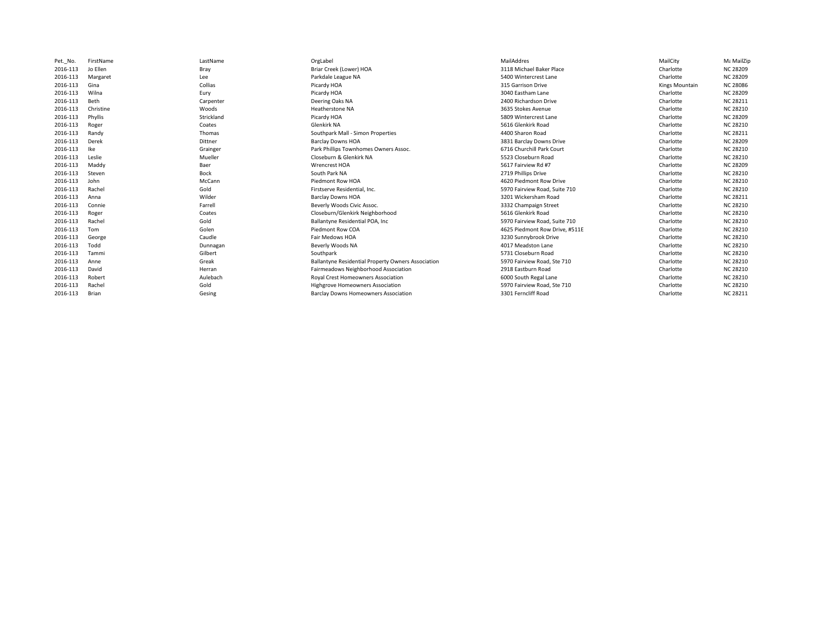| Pet. No. | FirstName | LastName   | OrgLabel                                           | MailAddres                     | MailCity       | Με MailZip      |
|----------|-----------|------------|----------------------------------------------------|--------------------------------|----------------|-----------------|
| 2016-113 | Jo Ellen  | Bray       | Briar Creek (Lower) HOA                            | 3118 Michael Baker Place       | Charlotte      | <b>NC 28209</b> |
| 2016-113 | Margaret  | Lee        | Parkdale League NA                                 | 5400 Wintercrest Lane          | Charlotte      | <b>NC 28209</b> |
| 2016-113 | Gina      | Collias    | Picardy HOA                                        | 315 Garrison Drive             | Kings Mountain | <b>NC 28086</b> |
| 2016-113 | Wilna     | Eury       | Picardy HOA                                        | 3040 Eastham Lane              | Charlotte      | <b>NC 28209</b> |
| 2016-113 | Beth      | Carpenter  | Deering Oaks NA                                    | 2400 Richardson Drive          | Charlotte      | <b>NC 28211</b> |
| 2016-113 | Christine | Woods      | Heatherstone NA                                    | 3635 Stokes Avenue             | Charlotte      | <b>NC 28210</b> |
| 2016-113 | Phyllis   | Strickland | Picardy HOA                                        | 5809 Wintercrest Lane          | Charlotte      | <b>NC 28209</b> |
| 2016-113 | Roger     | Coates     | Glenkirk NA                                        | 5616 Glenkirk Road             | Charlotte      | <b>NC 28210</b> |
| 2016-113 | Randy     | Thomas     | Southpark Mall - Simon Properties                  | 4400 Sharon Road               | Charlotte      | <b>NC 28211</b> |
| 2016-113 | Derek     | Dittner    | <b>Barclay Downs HOA</b>                           | 3831 Barclay Downs Drive       | Charlotte      | <b>NC 28209</b> |
| 2016-113 | Ike       | Grainger   | Park Phillips Townhomes Owners Assoc.              | 6716 Churchill Park Court      | Charlotte      | <b>NC 28210</b> |
| 2016-113 | Leslie    | Mueller    | Closeburn & Glenkirk NA                            | 5523 Closeburn Road            | Charlotte      | <b>NC 28210</b> |
| 2016-113 | Maddy     | Baer       | <b>Wrencrest HOA</b>                               | 5617 Fairview Rd #7            | Charlotte      | <b>NC 28209</b> |
| 2016-113 | Steven    | Bock       | South Park NA                                      | 2719 Phillips Drive            | Charlotte      | <b>NC 28210</b> |
| 2016-113 | John      | McCann     | Piedmont Row HOA                                   | 4620 Piedmont Row Drive        | Charlotte      | <b>NC 28210</b> |
| 2016-113 | Rachel    | Gold       | Firstserve Residential, Inc.                       | 5970 Fairview Road, Suite 710  | Charlotte      | <b>NC 28210</b> |
| 2016-113 | Anna      | Wilder     | <b>Barclay Downs HOA</b>                           | 3201 Wickersham Road           | Charlotte      | <b>NC 28211</b> |
| 2016-113 | Connie    | Farrell    | Beverly Woods Civic Assoc.                         | 3332 Champaign Street          | Charlotte      | <b>NC 28210</b> |
| 2016-113 | Roger     | Coates     | Closeburn/Glenkirk Neighborhood                    | 5616 Glenkirk Road             | Charlotte      | <b>NC 28210</b> |
| 2016-113 | Rachel    | Gold       | Ballantyne Residential POA, Inc.                   | 5970 Fairview Road, Suite 710  | Charlotte      | <b>NC 28210</b> |
| 2016-113 | Tom       | Golen      | Piedmont Row COA                                   | 4625 Piedmont Row Drive, #511E | Charlotte      | <b>NC 28210</b> |
| 2016-113 | George    | Caudle     | Fair Medows HOA                                    | 3230 Sunnybrook Drive          | Charlotte      | <b>NC 28210</b> |
| 2016-113 | Todd      | Dunnagan   | Beverly Woods NA                                   | 4017 Meadston Lane             | Charlotte      | <b>NC 28210</b> |
| 2016-113 | Tammi     | Gilbert    | Southpark                                          | 5731 Closeburn Road            | Charlotte      | <b>NC 28210</b> |
| 2016-113 | Anne      | Greak      | Ballantyne Residential Property Owners Association | 5970 Fairview Road, Ste 710    | Charlotte      | <b>NC 28210</b> |
| 2016-113 | David     | Herran     | Fairmeadows Neighborhood Association               | 2918 Eastburn Road             | Charlotte      | <b>NC 28210</b> |
| 2016-113 | Robert    | Aulebach   | Royal Crest Homeowners Association                 | 6000 South Regal Lane          | Charlotte      | <b>NC 28210</b> |
| 2016-113 | Rachel    | Gold       | Highgrove Homeowners Association                   | 5970 Fairview Road, Ste 710    | Charlotte      | <b>NC 28210</b> |
| 2016-113 | Brian     | Gesing     | <b>Barclay Downs Homeowners Association</b>        | 3301 Ferncliff Road            | Charlotte      | <b>NC 28211</b> |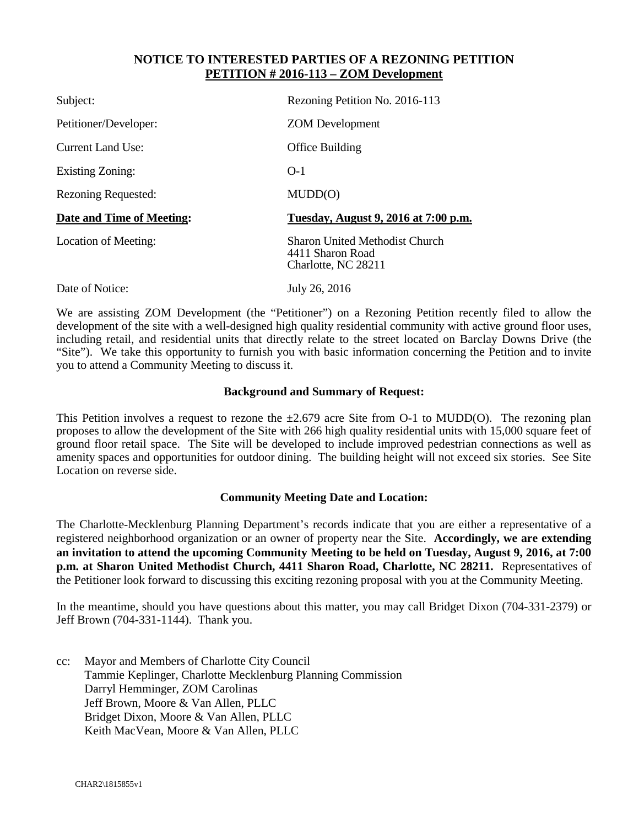#### **NOTICE TO INTERESTED PARTIES OF A REZONING PETITION PETITION # 2016-113 – ZOM Development**

| Subject:                   | Rezoning Petition No. 2016-113                                                   |
|----------------------------|----------------------------------------------------------------------------------|
| Petitioner/Developer:      | <b>ZOM</b> Development                                                           |
| <b>Current Land Use:</b>   | Office Building                                                                  |
| <b>Existing Zoning:</b>    | $O-1$                                                                            |
| <b>Rezoning Requested:</b> | MUDD(O)                                                                          |
| Date and Time of Meeting:  | Tuesday, August 9, 2016 at 7:00 p.m.                                             |
| Location of Meeting:       | <b>Sharon United Methodist Church</b><br>4411 Sharon Road<br>Charlotte, NC 28211 |
| Date of Notice:            | July 26, 2016                                                                    |

We are assisting ZOM Development (the "Petitioner") on a Rezoning Petition recently filed to allow the development of the site with a well-designed high quality residential community with active ground floor uses, including retail, and residential units that directly relate to the street located on Barclay Downs Drive (the "Site"). We take this opportunity to furnish you with basic information concerning the Petition and to invite you to attend a Community Meeting to discuss it.

#### **Background and Summary of Request:**

This Petition involves a request to rezone the  $\pm 2.679$  acre Site from O-1 to MUDD(O). The rezoning plan proposes to allow the development of the Site with 266 high quality residential units with 15,000 square feet of ground floor retail space. The Site will be developed to include improved pedestrian connections as well as amenity spaces and opportunities for outdoor dining. The building height will not exceed six stories. See Site Location on reverse side.

#### **Community Meeting Date and Location:**

The Charlotte-Mecklenburg Planning Department's records indicate that you are either a representative of a registered neighborhood organization or an owner of property near the Site. **Accordingly, we are extending an invitation to attend the upcoming Community Meeting to be held on Tuesday, August 9, 2016, at 7:00 p.m. at Sharon United Methodist Church, 4411 Sharon Road, Charlotte, NC 28211.** Representatives of the Petitioner look forward to discussing this exciting rezoning proposal with you at the Community Meeting.

In the meantime, should you have questions about this matter, you may call Bridget Dixon (704-331-2379) or Jeff Brown (704-331-1144). Thank you.

cc: Mayor and Members of Charlotte City Council Tammie Keplinger, Charlotte Mecklenburg Planning Commission Darryl Hemminger, ZOM Carolinas Jeff Brown, Moore & Van Allen, PLLC Bridget Dixon, Moore & Van Allen, PLLC Keith MacVean, Moore & Van Allen, PLLC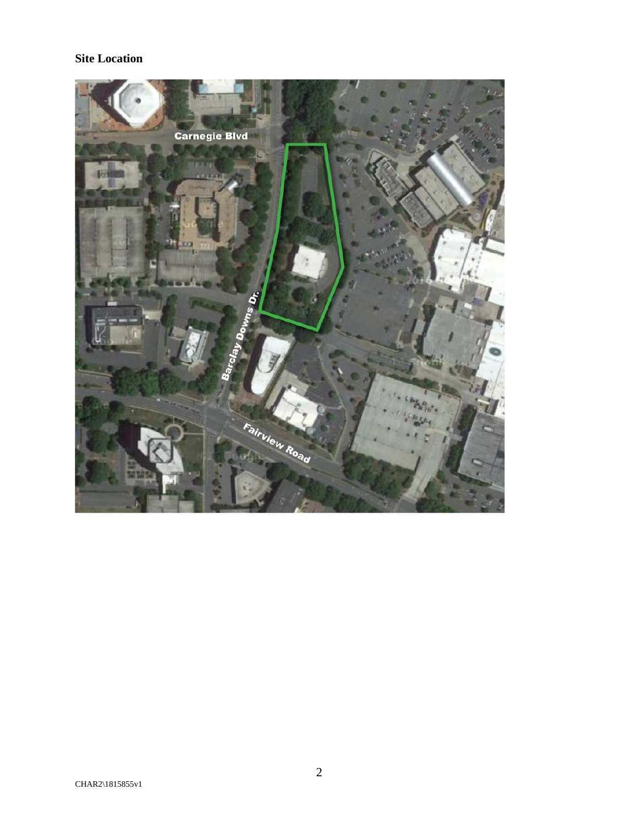### **Site Location**

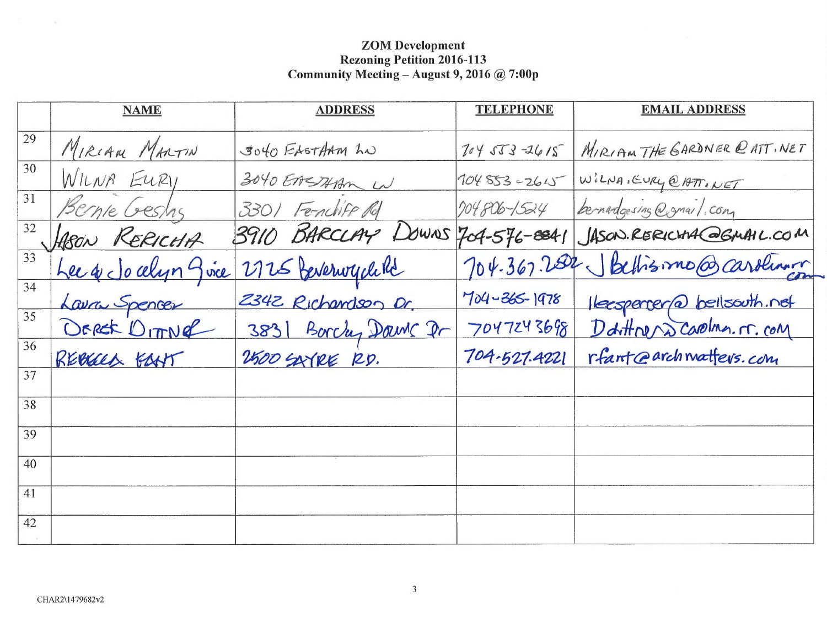|                 | <b>NAME</b>        | <b>ADDRESS</b>                  | <b>TELEPHONE</b>   | <b>EMAIL ADDRESS</b>                 |
|-----------------|--------------------|---------------------------------|--------------------|--------------------------------------|
| 29              | MIRIAM MARTIN      | 3040 EASTHAM LN                 | $70453 - 2615$     | MIRIAM THE GARDNER @ ATT, NET        |
| 30              | WILNA EURI         | 3040 EASTHAM W                  |                    | 104853-2615 WILNA, EURY @ATT. NET    |
| 31              | Bernie Gestas      | 3301 Fenchiff Rd                | 204806-1524        | bernardgesing @gmail.com             |
| 32              | ASON RERICHA       | 3910 BARCLAY DOWNS 704-576-8841 |                    | JASON. RERICHA COGAMIL.COM           |
| $\overline{33}$ | Lee & Jocelyn give | 2725 Perserwych Re              |                    | 704-367.2002 Bethismo@caroling       |
| 34              | Lavra Spencer      | 2342 Richardson Dr.             | $704 - 365 - 1978$ | Herspercer@ bellsouth.net            |
| 35              | DEREK DITTING      | 3831 Borchy Downs Dr            |                    | 7047243698 Darthren Dcarolma. r. com |
| 36              | REBELL BANT        | 2500 SAYRE RD.                  | 704-527.4221       | rfant@archmatfers.com                |
| 37              |                    |                                 |                    |                                      |
| 38              |                    |                                 |                    |                                      |
| 39              |                    |                                 |                    |                                      |
| 40              |                    |                                 |                    |                                      |
| 41              |                    |                                 |                    |                                      |
| 42              |                    |                                 |                    |                                      |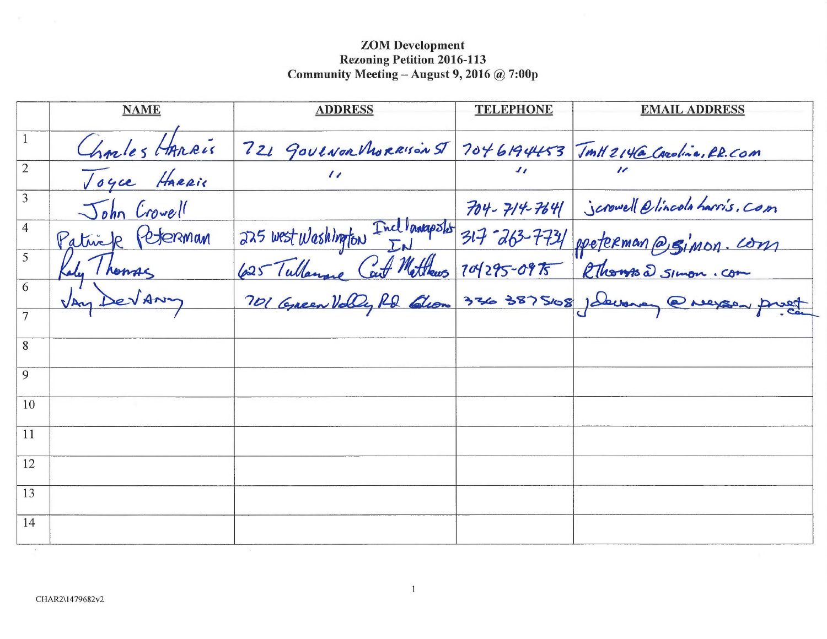|                | <b>NAME</b>      | <b>ADDRESS</b>                                                         | <b>TELEPHONE</b> | <b>EMAIL ADDRESS</b>                                      |
|----------------|------------------|------------------------------------------------------------------------|------------------|-----------------------------------------------------------|
| $\mathbf{1}$   | Charles HARRIS   | 721 GOVENOR MORRISON ST 7046194453 TMH2146 CARolina, RR.COM            |                  |                                                           |
| $\overline{2}$ | Toyce HARRie     | $\prime\prime$                                                         | $J_{\ell}$       |                                                           |
| 3              | John Crowell     |                                                                        |                  | 704-714-7641 Scrowell Olincola harris, Com                |
| $\overline{4}$ | Patrick (eterman | 225 west Washington Inclinanapolis 317-263-7731 ppeterman @ Simon. com |                  |                                                           |
| 5              | du Thomas        |                                                                        |                  |                                                           |
| 6              | DeVANY           |                                                                        |                  | 701 Green Volly RD Glom 336 3875108 Jakonay @ Negos priet |
|                |                  |                                                                        |                  |                                                           |
| 8              |                  |                                                                        |                  |                                                           |
| 9              |                  |                                                                        |                  |                                                           |
| 10             |                  |                                                                        |                  |                                                           |
| 11             |                  |                                                                        |                  |                                                           |
| 12             |                  |                                                                        |                  |                                                           |
| 13             |                  |                                                                        |                  |                                                           |
| 14             |                  |                                                                        |                  |                                                           |
|                |                  |                                                                        |                  |                                                           |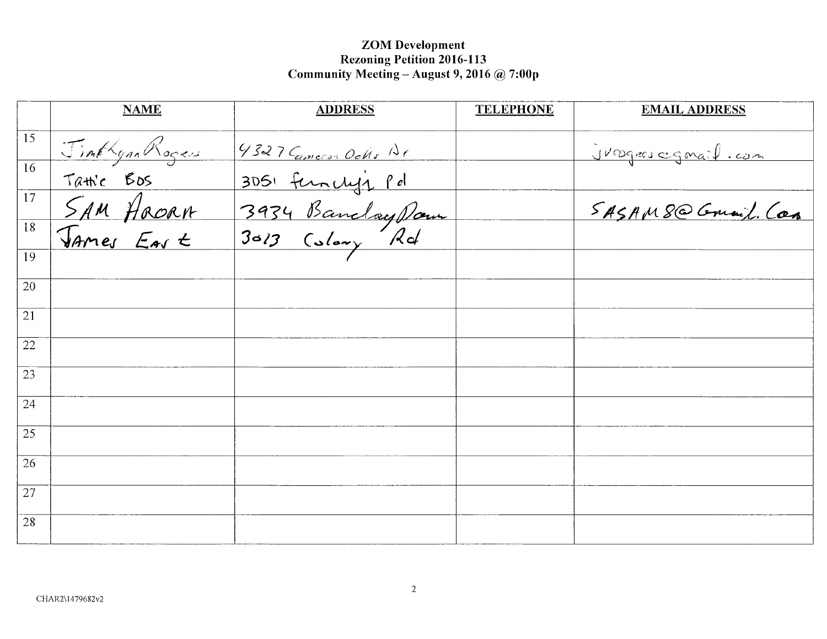|                 | <b>NAME</b>                          | <b>ADDRESS</b>       | <b>TELEPHONE</b> | <b>EMAIL ADDRESS</b>      |
|-----------------|--------------------------------------|----------------------|------------------|---------------------------|
| 15              | Jimthyan Rogers                      | 4327 Cameron Ochs Ar |                  | <u>Jungers egnail com</u> |
| $\overline{16}$ |                                      | 3051 function pd     |                  |                           |
| $\overline{17}$ | Tatic Bos<br>SAM Hocan<br>James East | 3934 Banclay Dam     |                  | SASAMS@ Gmail. Can        |
| $\overline{18}$ |                                      |                      |                  |                           |
| 19              |                                      |                      |                  |                           |
| 20              |                                      |                      |                  |                           |
| 21              |                                      |                      |                  |                           |
| 22              |                                      |                      |                  |                           |
| 23              |                                      |                      |                  |                           |
| 24              |                                      |                      |                  |                           |
| 25              |                                      |                      |                  |                           |
| 26              |                                      |                      |                  |                           |
| 27              |                                      |                      |                  |                           |
| 28              |                                      |                      |                  |                           |